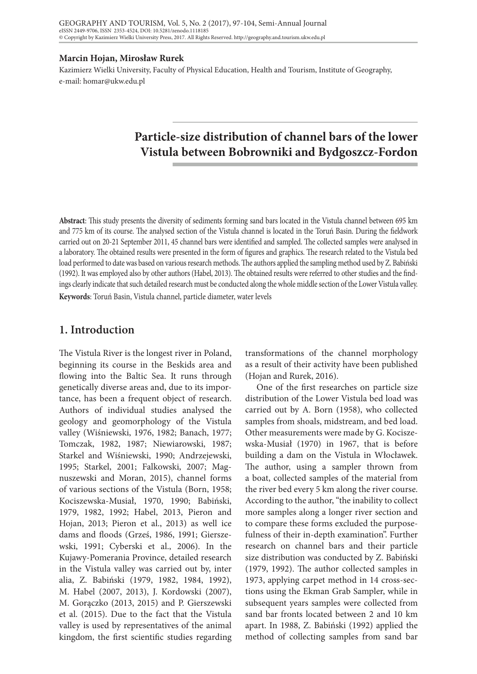#### **Marcin Hojan, Mirosław Rurek**

Kazimierz Wielki University, Faculty of Physical Education, Health and Tourism, Institute of Geography, e-mail: homar@ukw.edu.pl

# **Particle-size distribution of channel bars of the lower Vistula between Bobrowniki and Bydgoszcz-Fordon**

**Abstract**: This study presents the diversity of sediments forming sand bars located in the Vistula channel between 695 km and 775 km of its course. The analysed section of the Vistula channel is located in the Toruń Basin. During the fieldwork carried out on 20-21 September 2011, 45 channel bars were identified and sampled. The collected samples were analysed in a laboratory. The obtained results were presented in the form of figures and graphics. The research related to the Vistula bed load performed to date was based on various research methods. The authors applied the sampling method used by Z. Babiński (1992). It was employed also by other authors (Habel, 2013). The obtained results were referred to other studies and the findings clearly indicate that such detailed research must be conducted along the whole middle section of the Lower Vistula valley. **Keywords**: Toruń Basin, Vistula channel, particle diameter, water levels

## **1. Introduction**

The Vistula River is the longest river in Poland, beginning its course in the Beskids area and flowing into the Baltic Sea. It runs through genetically diverse areas and, due to its importance, has been a frequent object of research. Authors of individual studies analysed the geology and geomorphology of the Vistula valley (Wiśniewski, 1976, 1982; Banach, 1977; Tomczak, 1982, 1987; Niewiarowski, 1987; Starkel and Wiśniewski, 1990; Andrzejewski, 1995; Starkel, 2001; Falkowski, 2007; Magnuszewski and Moran, 2015), channel forms of various sections of the Vistula (Born, 1958; Kociszewska-Musiał, 1970, 1990; Babiński, 1979, 1982, 1992; Habel, 2013, Pieron and Hojan, 2013; Pieron et al., 2013) as well ice dams and floods (Grześ, 1986, 1991; Gierszewski, 1991; Cyberski et al., 2006). In the Kujawy-Pomerania Province, detailed research in the Vistula valley was carried out by, inter alia, Z. Babiński (1979, 1982, 1984, 1992), M. Habel (2007, 2013), J. Kordowski (2007), M. Gorączko (2013, 2015) and P. Gierszewski et al. (2015). Due to the fact that the Vistula valley is used by representatives of the animal kingdom, the first scientific studies regarding

transformations of the channel morphology as a result of their activity have been published (Hojan and Rurek, 2016).

One of the first researches on particle size distribution of the Lower Vistula bed load was carried out by A. Born (1958), who collected samples from shoals, midstream, and bed load. Other measurements were made by G. Kociszewska-Musiał (1970) in 1967, that is before building a dam on the Vistula in Włocławek. The author, using a sampler thrown from a boat, collected samples of the material from the river bed every 5 km along the river course. According to the author, "the inability to collect more samples along a longer river section and to compare these forms excluded the purposefulness of their in-depth examination". Further research on channel bars and their particle size distribution was conducted by Z. Babiński (1979, 1992). The author collected samples in 1973, applying carpet method in 14 cross-sections using the Ekman Grab Sampler, while in subsequent years samples were collected from sand bar fronts located between 2 and 10 km apart. In 1988, Z. Babiński (1992) applied the method of collecting samples from sand bar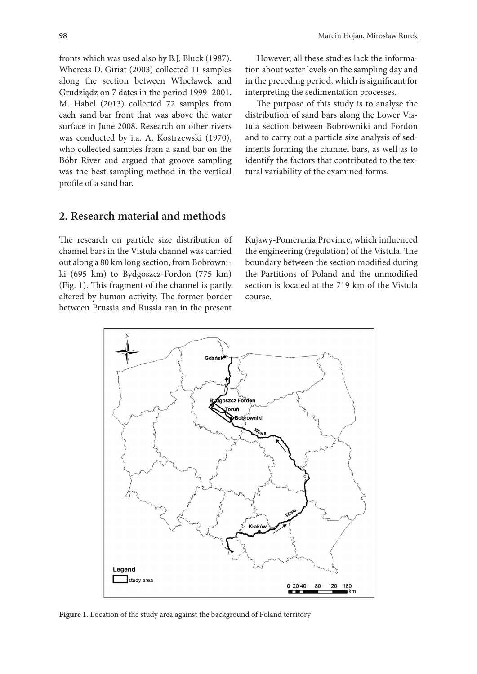fronts which was used also by B.J. Bluck (1987). Whereas D. Giriat (2003) collected 11 samples along the section between Włocławek and Grudziądz on 7 dates in the period 1999–2001. M. Habel (2013) collected 72 samples from each sand bar front that was above the water surface in June 2008. Research on other rivers was conducted by i.a. A. Kostrzewski (1970), who collected samples from a sand bar on the Bóbr River and argued that groove sampling was the best sampling method in the vertical profile of a sand bar.

However, all these studies lack the information about water levels on the sampling day and in the preceding period, which is significant for interpreting the sedimentation processes.

The purpose of this study is to analyse the distribution of sand bars along the Lower Vistula section between Bobrowniki and Fordon and to carry out a particle size analysis of sediments forming the channel bars, as well as to identify the factors that contributed to the textural variability of the examined forms.

# **2. Research material and methods**

The research on particle size distribution of channel bars in the Vistula channel was carried out along a 80 km long section, from Bobrowniki (695 km) to Bydgoszcz-Fordon (775 km) (Fig. 1). This fragment of the channel is partly altered by human activity. The former border between Prussia and Russia ran in the present

Kujawy-Pomerania Province, which influenced the engineering (regulation) of the Vistula. The boundary between the section modified during the Partitions of Poland and the unmodified section is located at the 719 km of the Vistula course.



**Figure 1**. Location of the study area against the background of Poland territory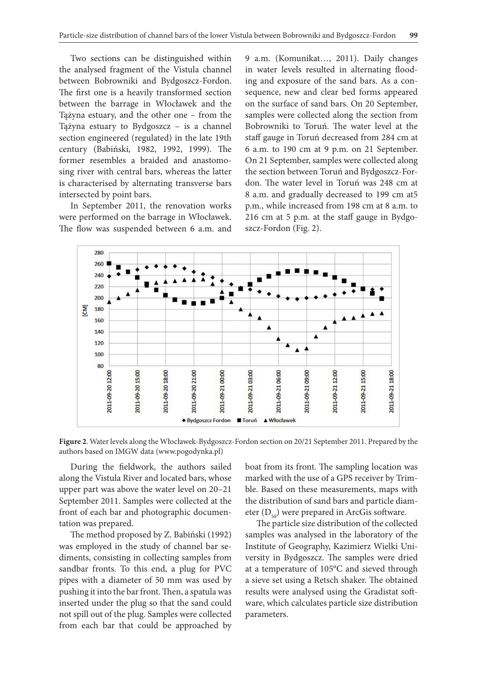Two sections can be distinguished within the analysed fragment of the Vistula channel between Bobrowniki and Bydgoszcz-Fordon. The first one is a heavily transformed section between the barrage in Włocławek and the Tążyna estuary, and the other one – from the Tążyna estuary to Bydgoszcz – is a channel section engineered (regulated) in the late 19th century (Babiński, 1982, 1992, 1999). The former resembles a braided and anastomosing river with central bars, whereas the latter is characterised by alternating transverse bars intersected by point bars.

In September 2011, the renovation works were performed on the barrage in Włocławek. The flow was suspended between 6 a.m. and 9 a.m. (Komunikat…, 2011). Daily changes in water levels resulted in alternating flooding and exposure of the sand bars. As a consequence, new and clear bed forms appeared on the surface of sand bars. On 20 September, samples were collected along the section from Bobrowniki to Toruń. The water level at the staff gauge in Toruń decreased from 284 cm at 6 a.m. to 190 cm at 9 p.m. on 21 September. On 21 September, samples were collected along the section between Toruń and Bydgoszcz-Fordon. The water level in Toruń was 248 cm at 8 a.m. and gradually decreased to 199 cm at5 p.m., while increased from 198 cm at 8 a.m. to 216 cm at 5 p.m. at the staff gauge in Bydgoszcz-Fordon (Fig. 2).



**Figure 2**. Water levels along the Włocławek-Bydgoszcz-Fordon section on 20/21 September 2011. Prepared by the authors based on IMGW data (www.pogodynka.pl)

During the fieldwork, the authors sailed along the Vistula River and located bars, whose upper part was above the water level on 20–21 September 2011. Samples were collected at the front of each bar and photographic documentation was prepared.

The method proposed by Z. Babiński (1992) was employed in the study of channel bar sediments, consisting in collecting samples from sandbar fronts. To this end, a plug for PVC pipes with a diameter of 50 mm was used by pushing it into the bar front. Then, a spatula was inserted under the plug so that the sand could not spill out of the plug. Samples were collected from each bar that could be approached by

boat from its front. The sampling location was marked with the use of a GPS receiver by Trimble. Based on these measurements, maps with the distribution of sand bars and particle diameter  $(D_{\epsilon_0})$  were prepared in ArcGis software.

The particle size distribution of the collected samples was analysed in the laboratory of the Institute of Geography, Kazimierz Wielki University in Bydgoszcz. The samples were dried at a temperature of 105°C and sieved through a sieve set using a Retsch shaker. The obtained results were analysed using the Gradistat software, which calculates particle size distribution parameters.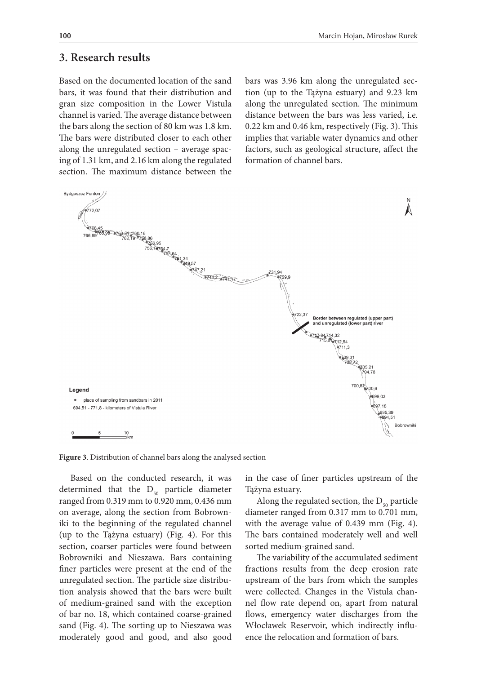### **3. Research results**

Based on the documented location of the sand bars, it was found that their distribution and gran size composition in the Lower Vistula channel is varied. The average distance between the bars along the section of 80 km was 1.8 km. The bars were distributed closer to each other along the unregulated section – average spacing of 1.31 km, and 2.16 km along the regulated section. The maximum distance between the

bars was 3.96 km along the unregulated section (up to the Tążyna estuary) and 9.23 km along the unregulated section. The minimum distance between the bars was less varied, i.e. 0.22 km and 0.46 km, respectively (Fig. 3). This implies that variable water dynamics and other factors, such as geological structure, affect the formation of channel bars.



**Figure 3**. Distribution of channel bars along the analysed section

Based on the conducted research, it was determined that the  $D_{50}$  particle diameter ranged from 0.319 mm to 0.920 mm, 0.436 mm on average, along the section from Bobrowniki to the beginning of the regulated channel (up to the Tążyna estuary) (Fig. 4). For this section, coarser particles were found between Bobrowniki and Nieszawa. Bars containing finer particles were present at the end of the unregulated section. The particle size distribution analysis showed that the bars were built of medium-grained sand with the exception of bar no. 18, which contained coarse-grained sand (Fig. 4). The sorting up to Nieszawa was moderately good and good, and also good in the case of finer particles upstream of the Tążyna estuary.

Along the regulated section, the  $D_{50}$  particle diameter ranged from 0.317 mm to 0.701 mm, with the average value of 0.439 mm (Fig. 4). The bars contained moderately well and well sorted medium-grained sand.

The variability of the accumulated sediment fractions results from the deep erosion rate upstream of the bars from which the samples were collected. Changes in the Vistula channel flow rate depend on, apart from natural flows, emergency water discharges from the Włocławek Reservoir, which indirectly influence the relocation and formation of bars.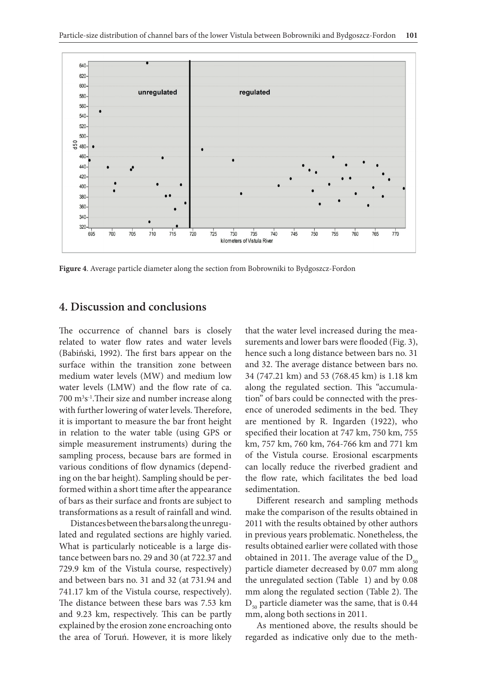

**Figure 4**. Average particle diameter along the section from Bobrowniki to Bydgoszcz-Fordon

## **4. Discussion and conclusions**

The occurrence of channel bars is closely related to water flow rates and water levels (Babiński, 1992). The first bars appear on the surface within the transition zone between medium water levels (MW) and medium low water levels (LMW) and the flow rate of ca. 700 m3 s-1.Their size and number increase along with further lowering of water levels. Therefore, it is important to measure the bar front height in relation to the water table (using GPS or simple measurement instruments) during the sampling process, because bars are formed in various conditions of flow dynamics (depending on the bar height). Sampling should be performed within a short time after the appearance of bars as their surface and fronts are subject to transformations as a result of rainfall and wind.

Distances between the bars along the unregulated and regulated sections are highly varied. What is particularly noticeable is a large distance between bars no. 29 and 30 (at 722.37 and 729.9 km of the Vistula course, respectively) and between bars no. 31 and 32 (at 731.94 and 741.17 km of the Vistula course, respectively). The distance between these bars was 7.53 km and 9.23 km, respectively. This can be partly explained by the erosion zone encroaching onto the area of Toruń. However, it is more likely that the water level increased during the measurements and lower bars were flooded (Fig. 3), hence such a long distance between bars no. 31 and 32. The average distance between bars no. 34 (747.21 km) and 53 (768.45 km) is 1.18 km along the regulated section. This "accumulation" of bars could be connected with the presence of uneroded sediments in the bed. They are mentioned by R. Ingarden (1922), who specified their location at 747 km, 750 km, 755 km, 757 km, 760 km, 764-766 km and 771 km of the Vistula course. Erosional escarpments can locally reduce the riverbed gradient and the flow rate, which facilitates the bed load sedimentation.

Different research and sampling methods make the comparison of the results obtained in 2011 with the results obtained by other authors in previous years problematic. Nonetheless, the results obtained earlier were collated with those obtained in 2011. The average value of the  $D_{50}$ particle diameter decreased by 0.07 mm along the unregulated section (Table 1) and by 0.08 mm along the regulated section (Table 2). The  $D_{50}$  particle diameter was the same, that is 0.44 mm, along both sections in 2011.

As mentioned above, the results should be regarded as indicative only due to the meth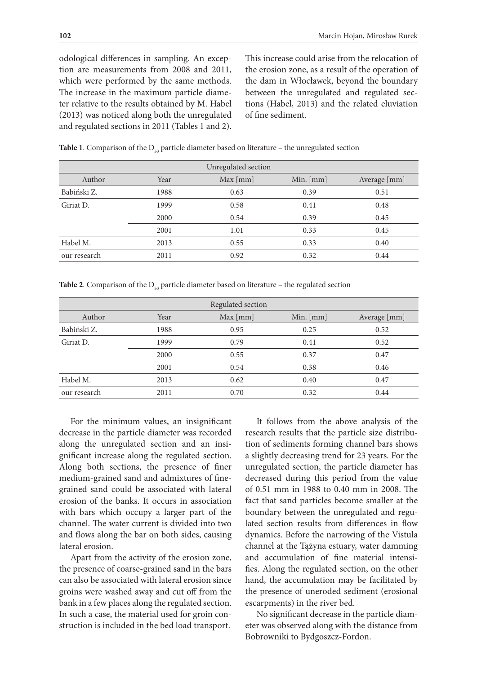odological differences in sampling. An exception are measurements from 2008 and 2011, which were performed by the same methods. The increase in the maximum particle diameter relative to the results obtained by M. Habel (2013) was noticed along both the unregulated and regulated sections in 2011 (Tables 1 and 2).

This increase could arise from the relocation of the erosion zone, as a result of the operation of the dam in Włocławek, beyond the boundary between the unregulated and regulated sections (Habel, 2013) and the related eluviation of fine sediment.

| <b>Table 1.</b> Comparison of the $D_{50}$ particle diameter based on literature – the unregulated section |  |
|------------------------------------------------------------------------------------------------------------|--|
|------------------------------------------------------------------------------------------------------------|--|

| Unregulated section |      |          |             |              |  |  |
|---------------------|------|----------|-------------|--------------|--|--|
| Author              | Year | Max [mm] | Min. $[mm]$ | Average [mm] |  |  |
| Babiński Z.         | 1988 | 0.63     | 0.39        | 0.51         |  |  |
| Giriat D.           | 1999 | 0.58     | 0.41        | 0.48         |  |  |
|                     | 2000 | 0.54     | 0.39        | 0.45         |  |  |
|                     | 2001 | 1.01     | 0.33        | 0.45         |  |  |
| Habel M.            | 2013 | 0.55     | 0.33        | 0.40         |  |  |
| our research        | 2011 | 0.92     | 0.32        | 0.44         |  |  |

**Table 2.** Comparison of the  $D_{50}$  particle diameter based on literature – the regulated section

| Regulated section |      |          |             |              |  |  |
|-------------------|------|----------|-------------|--------------|--|--|
| Author            | Year | Max [mm] | Min. $[mm]$ | Average [mm] |  |  |
| Babiński Z.       | 1988 | 0.95     | 0.25        | 0.52         |  |  |
| Giriat D.         | 1999 | 0.79     | 0.41        | 0.52         |  |  |
|                   | 2000 | 0.55     | 0.37        | 0.47         |  |  |
|                   | 2001 | 0.54     | 0.38        | 0.46         |  |  |
| Habel M.          | 2013 | 0.62     | 0.40        | 0.47         |  |  |
| our research      | 2011 | 0.70     | 0.32        | 0.44         |  |  |

For the minimum values, an insignificant decrease in the particle diameter was recorded along the unregulated section and an insignificant increase along the regulated section. Along both sections, the presence of finer medium-grained sand and admixtures of finegrained sand could be associated with lateral erosion of the banks. It occurs in association with bars which occupy a larger part of the channel. The water current is divided into two and flows along the bar on both sides, causing lateral erosion.

Apart from the activity of the erosion zone, the presence of coarse-grained sand in the bars can also be associated with lateral erosion since groins were washed away and cut off from the bank in a few places along the regulated section. In such a case, the material used for groin construction is included in the bed load transport.

It follows from the above analysis of the research results that the particle size distribution of sediments forming channel bars shows a slightly decreasing trend for 23 years. For the unregulated section, the particle diameter has decreased during this period from the value of 0.51 mm in 1988 to 0.40 mm in 2008. The fact that sand particles become smaller at the boundary between the unregulated and regulated section results from differences in flow dynamics. Before the narrowing of the Vistula channel at the Tążyna estuary, water damming and accumulation of fine material intensifies. Along the regulated section, on the other hand, the accumulation may be facilitated by the presence of uneroded sediment (erosional escarpments) in the river bed.

No significant decrease in the particle diameter was observed along with the distance from Bobrowniki to Bydgoszcz-Fordon.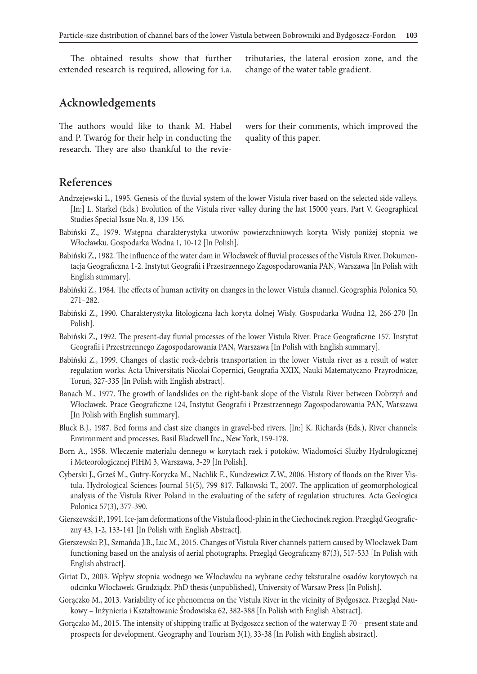The obtained results show that further extended research is required, allowing for i.a.

tributaries, the lateral erosion zone, and the change of the water table gradient.

# **Acknowledgements**

The authors would like to thank M. Habel and P. Twaróg for their help in conducting the research. They are also thankful to the reviewers for their comments, which improved the quality of this paper.

### **References**

- Andrzejewski L., 1995. Genesis of the fluvial system of the lower Vistula river based on the selected side valleys. [In:] L. Starkel (Eds.) Evolution of the Vistula river valley during the last 15000 years. Part V. Geographical Studies Special Issue No. 8, 139-156.
- Babiński Z., 1979. Wstępna charakterystyka utworów powierzchniowych koryta Wisły poniżej stopnia we Włocławku. Gospodarka Wodna 1, 10-12 [In Polish].
- Babiński Z., 1982. The influence of the water dam in Włocławek of fluvial processes of the Vistula River. Dokumentacja Geograficzna 1-2. Instytut Geografii i Przestrzennego Zagospodarowania PAN, Warszawa [In Polish with English summary].
- Babiński Z., 1984. The effects of human activity on changes in the lower Vistula channel. Geographia Polonica 50, 271–282.
- Babiński Z., 1990. Charakterystyka litologiczna łach koryta dolnej Wisły. Gospodarka Wodna 12, 266-270 [In Polish].
- Babiński Z., 1992. The present-day fluvial processes of the lower Vistula River. Prace Geograficzne 157. Instytut Geografii i Przestrzennego Zagospodarowania PAN, Warszawa [In Polish with English summary].
- Babiński Z., 1999. Changes of clastic rock-debris transportation in the lower Vistula river as a result of water regulation works. Acta Universitatis Nicolai Copernici, Geografia XXIX, Nauki Matematyczno-Przyrodnicze, Toruń, 327-335 [In Polish with English abstract].
- Banach M., 1977. The growth of landslides on the right-bank slope of the Vistula River between Dobrzyń and Włocławek. Prace Geograficzne 124, Instytut Geografii i Przestrzennego Zagospodarowania PAN, Warszawa [In Polish with English summary].
- Bluck B.J., 1987. Bed forms and clast size changes in gravel-bed rivers. [In:] K. Richards (Eds.), River channels: Environment and processes. Basil Blackwell Inc., New York, 159-178.
- Born A., 1958. Wleczenie materiału dennego w korytach rzek i potoków. Wiadomości Służby Hydrologicznej i Meteorologicznej PIHM 3, Warszawa, 3-29 [In Polish].
- Cyberski J., Grześ M., Gutry-Korycka M., Nachlik E., Kundzewicz Z.W., 2006. History of floods on the River Vistula. Hydrological Sciences Journal 51(5), 799-817. Falkowski T., 2007. The application of geomorphological analysis of the Vistula River Poland in the evaluating of the safety of regulation structures. Acta Geologica Polonica 57(3), 377-390.
- Gierszewski P., 1991. Ice-jam deformations of the Vistula flood-plain in the Ciechocinek region. Przegląd Geograficzny 43, 1-2, 133-141 [In Polish with English Abstract].
- Gierszewski P.J., Szmańda J.B., Luc M., 2015. Changes of Vistula River channels pattern caused by Włocławek Dam functioning based on the analysis of aerial photographs. Przegląd Geograficzny 87(3), 517-533 [In Polish with English abstract].
- Giriat D., 2003. Wpływ stopnia wodnego we Włocławku na wybrane cechy teksturalne osadów korytowych na odcinku Włocławek-Grudziądz. PhD thesis (unpublished), University of Warsaw Press [In Polish].
- Gorączko M., 2013. Variability of ice phenomena on the Vistula River in the vicinity of Bydgoszcz. Przegląd Naukowy – Inżynieria i Kształtowanie Środowiska 62, 382-388 [In Polish with English Abstract].
- Gorączko M., 2015. The intensity of shipping traffic at Bydgoszcz section of the waterway E-70 present state and prospects for development. Geography and Tourism 3(1), 33-38 [In Polish with English abstract].